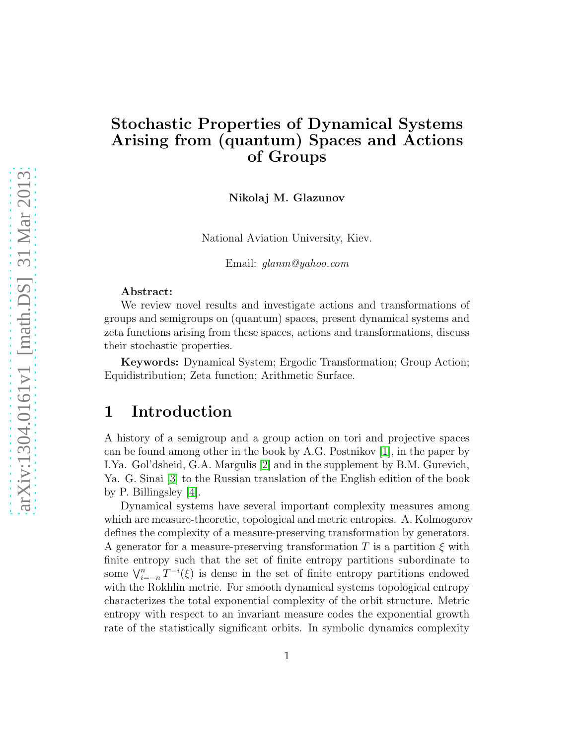## Stochastic Properties of Dynamical Systems Arising from (quantum) Spaces and Actions of Groups

Nikolaj M. Glazunov

National Aviation University, Kiev.

Email: glanm@yahoo.com

#### Abstract:

We review novel results and investigate actions and transformations of groups and semigroups on (quantum) spaces, present dynamical systems and zeta functions arising from these spaces, actions and transformations, discuss their stochastic properties.

Keywords: Dynamical System; Ergodic Transformation; Group Action; Equidistribution; Zeta function; Arithmetic Surface.

## 1 Introduction

A history of a semigroup and a group action on tori and projective spaces can be found among other in the book by A.G. Postnikov [\[1\]](#page-6-0), in the paper by I.Ya. Gol'dsheid, G.A. Margulis [\[2\]](#page-6-1) and in the supplement by B.M. Gurevich, Ya. G. Sinai [\[3\]](#page-7-0) to the Russian translation of the English edition of the book by P. Billingsley [\[4\]](#page-7-1).

Dynamical systems have several important complexity measures among which are measure-theoretic, topological and metric entropies. A. Kolmogorov defines the complexity of a measure-preserving transformation by generators. A generator for a measure-preserving transformation T is a partition  $\xi$  with finite entropy such that the set of finite entropy partitions subordinate to some  $\bigvee_{i=-n}^{n} T^{-i}(\xi)$  is dense in the set of finite entropy partitions endowed with the Rokhlin metric. For smooth dynamical systems topological entropy characterizes the total exponential complexity of the orbit structure. Metric entropy with respect to an invariant measure codes the exponential growth rate of the statistically significant orbits. In symbolic dynamics complexity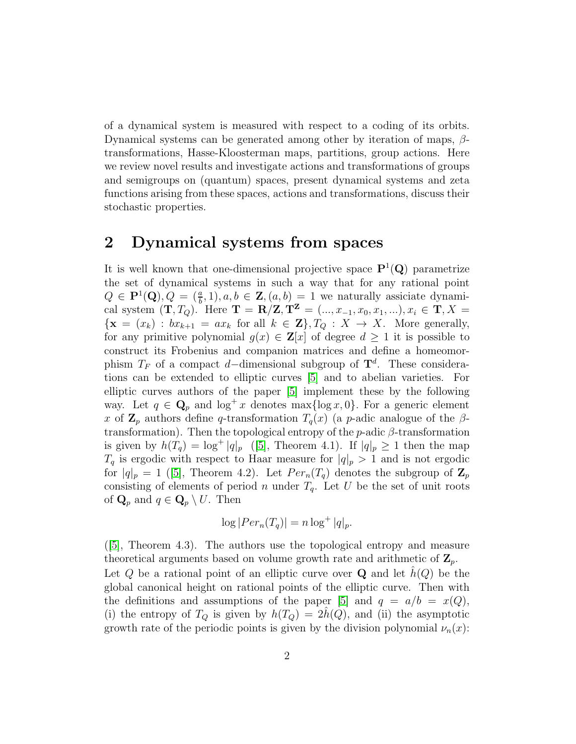of a dynamical system is measured with respect to a coding of its orbits. Dynamical systems can be generated among other by iteration of maps,  $\beta$ transformations, Hasse-Kloosterman maps, partitions, group actions. Here we review novel results and investigate actions and transformations of groups and semigroups on (quantum) spaces, present dynamical systems and zeta functions arising from these spaces, actions and transformations, discuss their stochastic properties.

## 2 Dynamical systems from spaces

It is well known that one-dimensional projective space  $\mathbf{P}^1(\mathbf{Q})$  parametrize the set of dynamical systems in such a way that for any rational point  $Q \in \mathbf{P}^1(\mathbf{Q}), Q = \left(\frac{a}{b}, 1\right), a, b \in \mathbf{Z}, (a, b) = 1$  we naturally assiciate dynamical system  $(T, T_Q)$ . Here  $T = R/Z, T^Z = (..., x_{-1}, x_0, x_1, ...)$ ,  $x_i \in T, X =$  ${x = (x_k) : bx_{k+1} = ax_k \text{ for all } k \in \mathbf{Z}$ ,  $T_Q : X \to X$ . More generally, for any primitive polynomial  $g(x) \in \mathbf{Z}[x]$  of degree  $d \geq 1$  it is possible to construct its Frobenius and companion matrices and define a homeomorphism  $T_F$  of a compact d–dimensional subgroup of  $\mathbf{T}^d$ . These considerations can be extended to elliptic curves [\[5\]](#page-7-2) and to abelian varieties. For elliptic curves authors of the paper [\[5\]](#page-7-2) implement these by the following way. Let  $q \in \mathbf{Q}_p$  and  $\log^+ x$  denotes  $\max{\{\log x, 0\}}$ . For a generic element x of  $\mathbb{Z}_p$  authors define q-transformation  $T_q(x)$  (a p-adic analogue of the  $\beta$ transformation). Then the topological entropy of the p-adic  $\beta$ -transformation is given by  $h(T_q) = \log^+ |q|_p$  ([\[5\]](#page-7-2), Theorem 4.1). If  $|q|_p \ge 1$  then the map  $T_q$  is ergodic with respect to Haar measure for  $|q|_p > 1$  and is not ergodic for $|q|_p = 1$  ([\[5\]](#page-7-2), Theorem 4.2). Let  $Per_n(T_q)$  denotes the subgroup of  $\mathbb{Z}_p$ consisting of elements of period n under  $T_q$ . Let U be the set of unit roots of  $\mathbf{Q}_p$  and  $q \in \mathbf{Q}_p \setminus U$ . Then

$$
\log |Per_n(T_q)| = n \log^+ |q|_p.
$$

([\[5\]](#page-7-2), Theorem 4.3). The authors use the topological entropy and measure theoretical arguments based on volume growth rate and arithmetic of  $\mathbf{Z}_p$ . Let Q be a rational point of an elliptic curve over Q and let  $\hat{h}(Q)$  be the global canonical height on rational points of the elliptic curve. Then with the definitions and assumptions of the paper [\[5\]](#page-7-2) and  $q = a/b = x(Q)$ , (i) the entropy of  $T_Q$  is given by  $h(T_Q) = 2h(Q)$ , and (ii) the asymptotic growth rate of the periodic points is given by the division polynomial  $\nu_n(x)$ :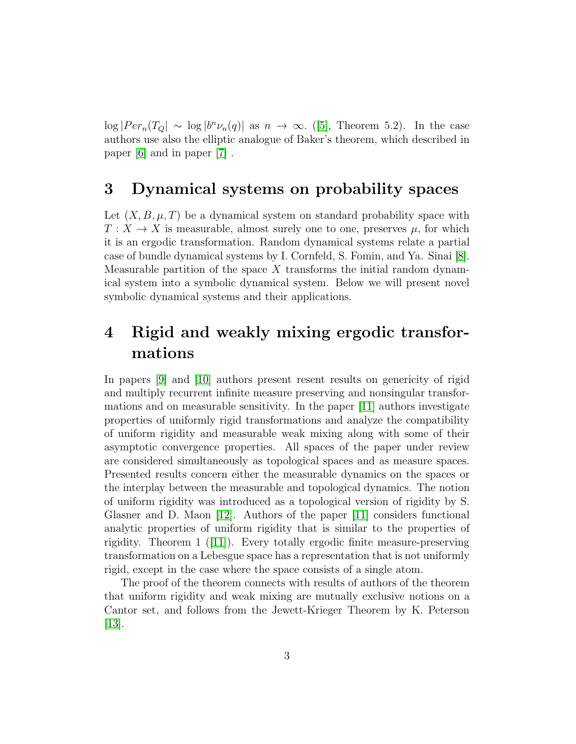$\log |Per_n(T_Q| \sim \log |b^n \nu_n(q)|$  as  $n \to \infty$ . ([\[5\]](#page-7-2), Theorem 5.2). In the case authors use also the elliptic analogue of Baker's theorem, which described in paper [\[6\]](#page-7-3) and in paper [\[7\]](#page-7-4) .

## 3 Dynamical systems on probability spaces

Let  $(X, B, \mu, T)$  be a dynamical system on standard probability space with  $T: X \to X$  is measurable, almost surely one to one, preserves  $\mu$ , for which it is an ergodic transformation. Random dynamical systems relate a partial case of bundle dynamical systems by I. Cornfeld, S. Fomin, and Ya. Sinai [\[8\]](#page-7-5). Measurable partition of the space  $X$  transforms the initial random dynamical system into a symbolic dynamical system. Below we will present novel symbolic dynamical systems and their applications.

## 4 Rigid and weakly mixing ergodic transformations

In papers [\[9\]](#page-7-6) and [\[10\]](#page-7-7) authors present resent results on genericity of rigid and multiply recurrent infinite measure preserving and nonsingular transformations and on measurable sensitivity. In the paper [\[11\]](#page-7-8) authors investigate properties of uniformly rigid transformations and analyze the compatibility of uniform rigidity and measurable weak mixing along with some of their asymptotic convergence properties. All spaces of the paper under review are considered simultaneously as topological spaces and as measure spaces. Presented results concern either the measurable dynamics on the spaces or the interplay between the measurable and topological dynamics. The notion of uniform rigidity was introduced as a topological version of rigidity by S. Glasner and D. Maon [\[12\]](#page-7-9). Authors of the paper [\[11\]](#page-7-8) considers functional analytic properties of uniform rigidity that is similar to the properties of rigidity. Theorem 1([\[11\]](#page-7-8)). Every totally ergodic finite measure-preserving transformation on a Lebesgue space has a representation that is not uniformly rigid, except in the case where the space consists of a single atom.

The proof of the theorem connects with results of authors of the theorem that uniform rigidity and weak mixing are mutually exclusive notions on a Cantor set, and follows from the Jewett-Krieger Theorem by K. Peterson  $|13|$ .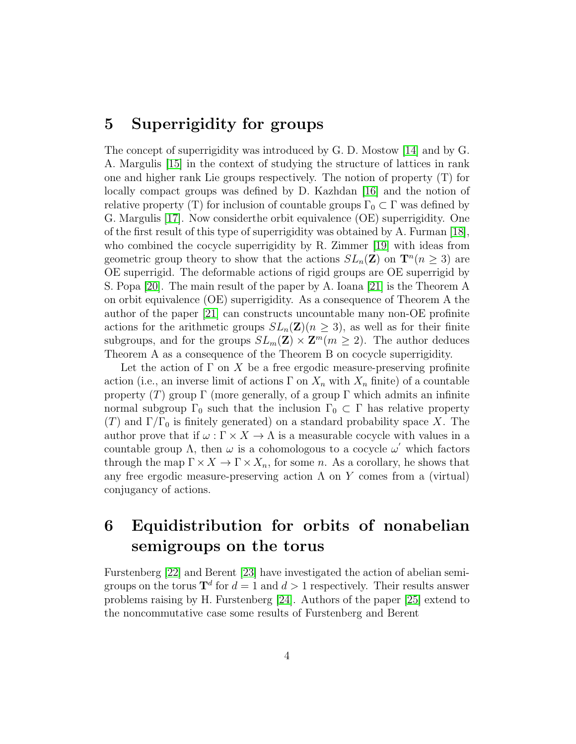## 5 Superrigidity for groups

The concept of superrigidity was introduced by G. D. Mostow [\[14\]](#page-7-11) and by G. A. Margulis [\[15\]](#page-7-12) in the context of studying the structure of lattices in rank one and higher rank Lie groups respectively. The notion of property (T) for locally compact groups was defined by D. Kazhdan [\[16\]](#page-8-0) and the notion of relative property (T) for inclusion of countable groups  $\Gamma_0 \subset \Gamma$  was defined by G. Margulis [\[17\]](#page-8-1). Now considerthe orbit equivalence (OE) superrigidity. One of the first result of this type of superrigidity was obtained by A. Furman [\[18\]](#page-8-2), who combined the cocycle superrigidity by R. Zimmer [\[19\]](#page-8-3) with ideas from geometric group theory to show that the actions  $SL_n(\mathbf{Z})$  on  $\mathbf{T}^n(n \geq 3)$  are OE superrigid. The deformable actions of rigid groups are OE superrigid by S. Popa [\[20\]](#page-8-4). The main result of the paper by A. Ioana [\[21\]](#page-8-5) is the Theorem A on orbit equivalence (OE) superrigidity. As a consequence of Theorem A the author of the paper [\[21\]](#page-8-5) can constructs uncountable many non-OE profinite actions for the arithmetic groups  $SL_n(\mathbf{Z})$  ( $n \geq 3$ ), as well as for their finite subgroups, and for the groups  $SL_m(\mathbf{Z}) \times \mathbf{Z}^m$  ( $m \geq 2$ ). The author deduces Theorem A as a consequence of the Theorem B on cocycle superrigidity.

Let the action of  $\Gamma$  on X be a free ergodic measure-preserving profinite action (i.e., an inverse limit of actions  $\Gamma$  on  $X_n$  with  $X_n$  finite) of a countable property (T) group  $\Gamma$  (more generally, of a group  $\Gamma$  which admits an infinite normal subgroup  $\Gamma_0$  such that the inclusion  $\Gamma_0 \subset \Gamma$  has relative property  $(T)$  and  $\Gamma/\Gamma_0$  is finitely generated) on a standard probability space X. The author prove that if  $\omega : \Gamma \times X \to \Lambda$  is a measurable cocycle with values in a countable group  $\Lambda$ , then  $\omega$  is a cohomologous to a cocycle  $\omega'$  which factors through the map  $\Gamma \times X \to \Gamma \times X_n$ , for some n. As a corollary, he shows that any free ergodic measure-preserving action  $\Lambda$  on Y comes from a (virtual) conjugancy of actions.

# 6 Equidistribution for orbits of nonabelian semigroups on the torus

Furstenberg [\[22\]](#page-8-6) and Berent [\[23\]](#page-8-7) have investigated the action of abelian semigroups on the torus  $\mathbf{T}^d$  for  $d=1$  and  $d>1$  respectively. Their results answer problems raising by H. Furstenberg [\[24\]](#page-8-8). Authors of the paper [\[25\]](#page-8-9) extend to the noncommutative case some results of Furstenberg and Berent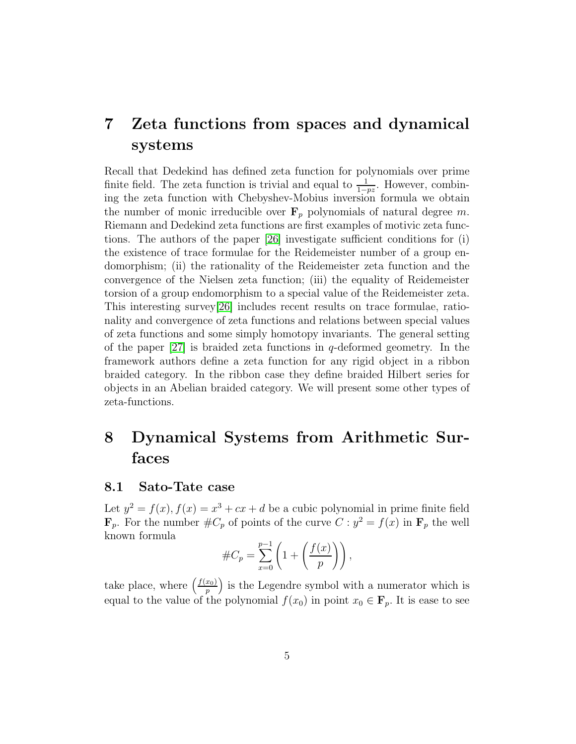## 7 Zeta functions from spaces and dynamical systems

Recall that Dedekind has defined zeta function for polynomials over prime finite field. The zeta function is trivial and equal to  $\frac{1}{1-pz}$ . However, combining the zeta function with Chebyshev-Mobius inversion formula we obtain the number of monic irreducible over  $\mathbf{F}_p$  polynomials of natural degree m. Riemann and Dedekind zeta functions are first examples of motivic zeta functions. The authors of the paper [\[26\]](#page-8-10) investigate sufficient conditions for (i) the existence of trace formulae for the Reidemeister number of a group endomorphism; (ii) the rationality of the Reidemeister zeta function and the convergence of the Nielsen zeta function; (iii) the equality of Reidemeister torsion of a group endomorphism to a special value of the Reidemeister zeta. This interesting survey[\[26\]](#page-8-10) includes recent results on trace formulae, rationality and convergence of zeta functions and relations between special values of zeta functions and some simply homotopy invariants. The general setting of the paper  $[27]$  is braided zeta functions in q-deformed geometry. In the framework authors define a zeta function for any rigid object in a ribbon braided category. In the ribbon case they define braided Hilbert series for objects in an Abelian braided category. We will present some other types of zeta-functions.

## 8 Dynamical Systems from Arithmetic Surfaces

#### 8.1 Sato-Tate case

Let  $y^2 = f(x)$ ,  $f(x) = x^3 + cx + d$  be a cubic polynomial in prime finite field  $\mathbf{F}_p$ . For the number  $\#C_p$  of points of the curve  $C: y^2 = f(x)$  in  $\mathbf{F}_p$  the well known formula

#C<sup>p</sup> = p X−1 x=0 1 + f(x) p !! ,

take place, where  $\left(\frac{f(x_0)}{n}\right)$  $\binom{x_0}{p}$  is the Legendre symbol with a numerator which is equal to the value of the polynomial  $f(x_0)$  in point  $x_0 \in \mathbf{F}_p$ . It is ease to see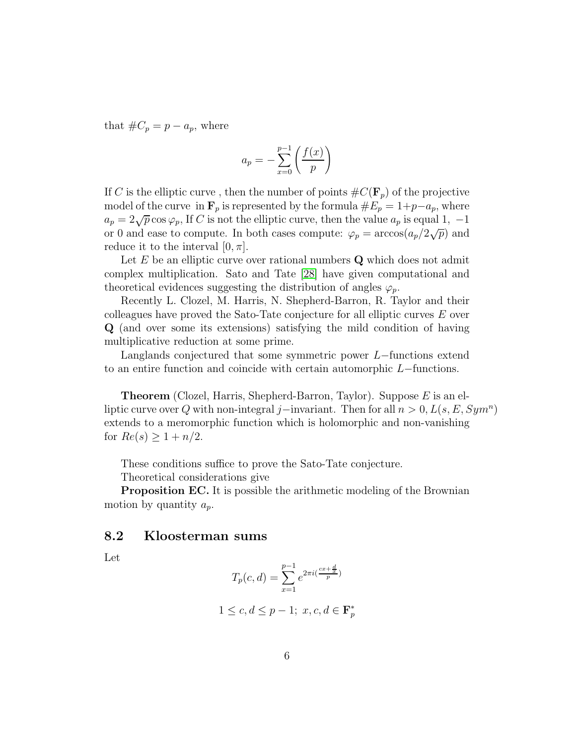that  $\#C_p = p - a_p$ , where

$$
a_p = -\sum_{x=0}^{p-1} \left( \frac{f(x)}{p} \right)
$$

If C is the elliptic curve, then the number of points  $\#C(\mathbf{F}_p)$  of the projective model of the curve in  $\mathbf{F}_p$  is represented by the formula  $\#E_p = 1+p-a_p$ , where  $a_p = 2\sqrt{p} \cos \varphi_p$ , If C is not the elliptic curve, then the value  $a_p$  is equal 1, -1 or 0 and ease to compute. In both cases compute:  $\varphi_p = \arccos(a_p/2\sqrt{p})$  and reduce it to the interval  $[0, \pi]$ .

Let  $E$  be an elliptic curve over rational numbers  $Q$  which does not admit complex multiplication. Sato and Tate [\[28\]](#page-8-12) have given computational and theoretical evidences suggesting the distribution of angles  $\varphi_p$ .

Recently L. Clozel, M. Harris, N. Shepherd-Barron, R. Taylor and their colleagues have proved the Sato-Tate conjecture for all elliptic curves E over Q (and over some its extensions) satisfying the mild condition of having multiplicative reduction at some prime.

Langlands conjectured that some symmetric power L−functions extend to an entire function and coincide with certain automorphic L−functions.

**Theorem** (Clozel, Harris, Shepherd-Barron, Taylor). Suppose  $E$  is an elliptic curve over Q with non-integral j–invariant. Then for all  $n > 0, L(s, E, Sym<sup>n</sup>)$ extends to a meromorphic function which is holomorphic and non-vanishing for  $Re(s) \geq 1 + n/2$ .

These conditions suffice to prove the Sato-Tate conjecture.

Theoretical considerations give

**Proposition EC.** It is possible the arithmetic modeling of the Brownian motion by quantity  $a_p$ .

#### 8.2 Kloosterman sums

Let

$$
T_p(c,d) = \sum_{x=1}^{p-1} e^{2\pi i(\frac{cx+\frac{d}{x}}{p})}
$$

$$
1 \le c, d \le p - 1; \ x, c, d \in \mathbf{F}_p^*
$$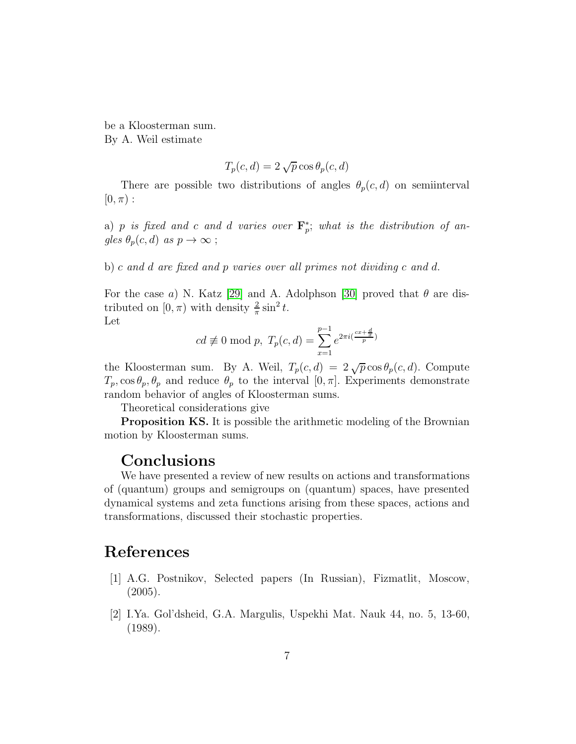be a Kloosterman sum. By A. Weil estimate

$$
T_p(c,d) = 2\sqrt{p}\cos\theta_p(c,d)
$$

There are possible two distributions of angles  $\theta_p(c, d)$  on semiinterval  $[0, \pi)$ :

a) p is fixed and c and d varies over  $\mathbf{F}_p^*$  $_{p}^{*}$ ; what is the distribution of angles  $\theta_p(c, d)$  as  $p \to \infty$ ;

b) c and d are fixed and p varies over all primes not dividing c and d.

For the case a) N. Katz [\[29\]](#page-8-13) and A. Adolphson [\[30\]](#page-8-14) proved that  $\theta$  are distributed on  $[0, \pi)$  with density  $\frac{2}{\pi} \sin^2 t$ . Let

$$
cd \not\equiv 0 \mod p, T_p(c,d) = \sum_{x=1}^{p-1} e^{2\pi i (\frac{cx + \frac{d}{x}}{p})}
$$

the Kloosterman sum. By A. Weil,  $T_p(c, d) = 2\sqrt{p} \cos \theta_p(c, d)$ . Compute  $T_p$ , cos  $\theta_p$ ,  $\theta_p$  and reduce  $\theta_p$  to the interval  $[0, \pi]$ . Experiments demonstrate random behavior of angles of Kloosterman sums.

Theoretical considerations give

**Proposition KS.** It is possible the arithmetic modeling of the Brownian motion by Kloosterman sums.

#### **Conclusions**

We have presented a review of new results on actions and transformations of (quantum) groups and semigroups on (quantum) spaces, have presented dynamical systems and zeta functions arising from these spaces, actions and transformations, discussed their stochastic properties.

## <span id="page-6-0"></span>References

- [1] A.G. Postnikov, Selected papers (In Russian), Fizmatlit, Moscow,  $(2005).$
- <span id="page-6-1"></span>[2] I.Ya. Gol'dsheid, G.A. Margulis, Uspekhi Mat. Nauk 44, no. 5, 13-60, (1989).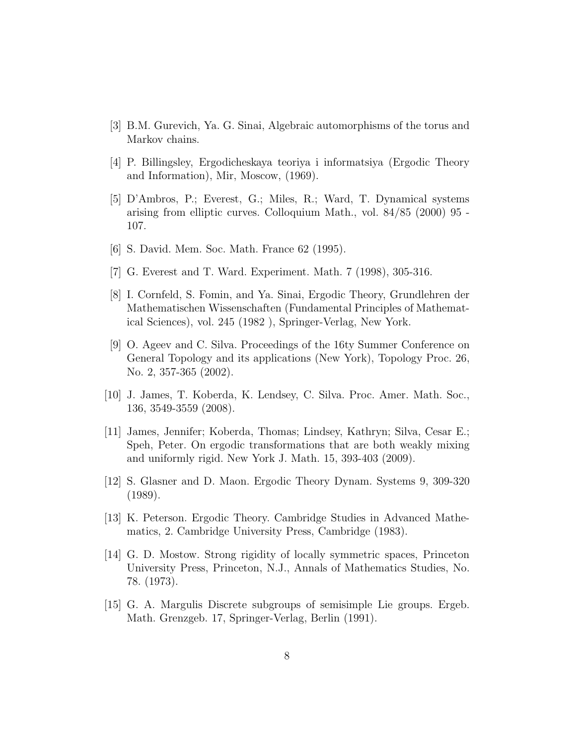- <span id="page-7-1"></span><span id="page-7-0"></span>[3] B.M. Gurevich, Ya. G. Sinai, Algebraic automorphisms of the torus and Markov chains.
- <span id="page-7-2"></span>[4] P. Billingsley, Ergodicheskaya teoriya i informatsiya (Ergodic Theory and Information), Mir, Moscow, (1969).
- [5] D'Ambros, P.; Everest, G.; Miles, R.; Ward, T. Dynamical systems arising from elliptic curves. Colloquium Math., vol. 84/85 (2000) 95 - 107.
- <span id="page-7-4"></span><span id="page-7-3"></span>[6] S. David. Mem. Soc. Math. France 62 (1995).
- <span id="page-7-5"></span>[7] G. Everest and T. Ward. Experiment. Math. 7 (1998), 305-316.
- [8] I. Cornfeld, S. Fomin, and Ya. Sinai, Ergodic Theory, Grundlehren der Mathematischen Wissenschaften (Fundamental Principles of Mathematical Sciences), vol. 245 (1982 ), Springer-Verlag, New York.
- <span id="page-7-6"></span>[9] O. Ageev and C. Silva. Proceedings of the 16ty Summer Conference on General Topology and its applications (New York), Topology Proc. 26, No. 2, 357-365 (2002).
- <span id="page-7-7"></span>[10] J. James, T. Koberda, K. Lendsey, C. Silva. Proc. Amer. Math. Soc., 136, 3549-3559 (2008).
- <span id="page-7-8"></span>[11] James, Jennifer; Koberda, Thomas; Lindsey, Kathryn; Silva, Cesar E.; Speh, Peter. On ergodic transformations that are both weakly mixing and uniformly rigid. New York J. Math. 15, 393-403 (2009).
- <span id="page-7-9"></span>[12] S. Glasner and D. Maon. Ergodic Theory Dynam. Systems 9, 309-320 (1989).
- <span id="page-7-10"></span>[13] K. Peterson. Ergodic Theory. Cambridge Studies in Advanced Mathematics, 2. Cambridge University Press, Cambridge (1983).
- <span id="page-7-11"></span>[14] G. D. Mostow. Strong rigidity of locally symmetric spaces, Princeton University Press, Princeton, N.J., Annals of Mathematics Studies, No. 78. (1973).
- <span id="page-7-12"></span>[15] G. A. Margulis Discrete subgroups of semisimple Lie groups. Ergeb. Math. Grenzgeb. 17, Springer-Verlag, Berlin (1991).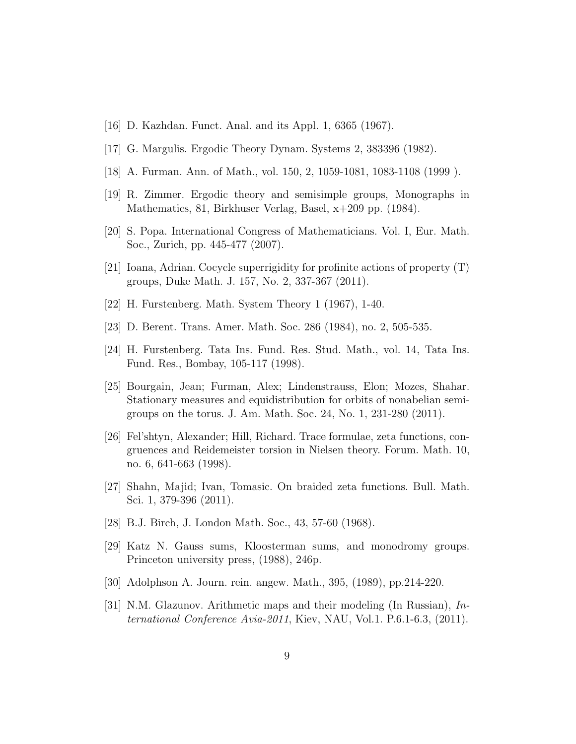- <span id="page-8-1"></span><span id="page-8-0"></span>[16] D. Kazhdan. Funct. Anal. and its Appl. 1, 6365 (1967).
- <span id="page-8-2"></span>[17] G. Margulis. Ergodic Theory Dynam. Systems 2, 383396 (1982).
- <span id="page-8-3"></span>[18] A. Furman. Ann. of Math., vol. 150, 2, 1059-1081, 1083-1108 (1999 ).
- <span id="page-8-4"></span>[19] R. Zimmer. Ergodic theory and semisimple groups, Monographs in Mathematics, 81, Birkhuser Verlag, Basel, x+209 pp. (1984).
- <span id="page-8-5"></span>[20] S. Popa. International Congress of Mathematicians. Vol. I, Eur. Math. Soc., Zurich, pp. 445-477 (2007).
- <span id="page-8-6"></span>[21] Ioana, Adrian. Cocycle superrigidity for profinite actions of property (T) groups, Duke Math. J. 157, No. 2, 337-367 (2011).
- <span id="page-8-7"></span>[22] H. Furstenberg. Math. System Theory 1 (1967), 1-40.
- <span id="page-8-8"></span>[23] D. Berent. Trans. Amer. Math. Soc. 286 (1984), no. 2, 505-535.
- <span id="page-8-9"></span>[24] H. Furstenberg. Tata Ins. Fund. Res. Stud. Math., vol. 14, Tata Ins. Fund. Res., Bombay, 105-117 (1998).
- [25] Bourgain, Jean; Furman, Alex; Lindenstrauss, Elon; Mozes, Shahar. Stationary measures and equidistribution for orbits of nonabelian semigroups on the torus. J. Am. Math. Soc. 24, No. 1, 231-280 (2011).
- <span id="page-8-10"></span>[26] Fel'shtyn, Alexander; Hill, Richard. Trace formulae, zeta functions, congruences and Reidemeister torsion in Nielsen theory. Forum. Math. 10, no. 6, 641-663 (1998).
- <span id="page-8-12"></span><span id="page-8-11"></span>[27] Shahn, Majid; Ivan, Tomasic. On braided zeta functions. Bull. Math. Sci. 1, 379-396 (2011).
- <span id="page-8-13"></span>[28] B.J. Birch, J. London Math. Soc., 43, 57-60 (1968).
- [29] Katz N. Gauss sums, Kloosterman sums, and monodromy groups. Princeton university press, (1988), 246p.
- <span id="page-8-14"></span>[30] Adolphson A. Journ. rein. angew. Math., 395, (1989), pp.214-220.
- [31] N.M. Glazunov. Arithmetic maps and their modeling (In Russian), International Conference Avia-2011, Kiev, NAU, Vol.1. P.6.1-6.3, (2011).